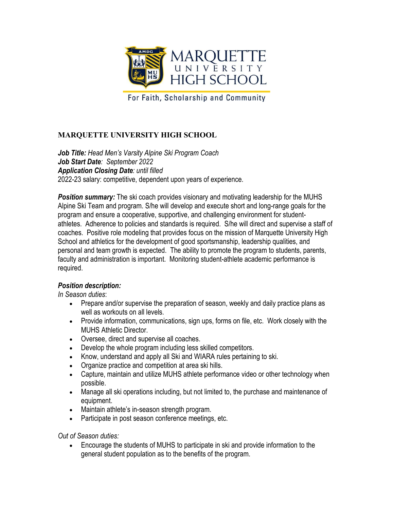

For Faith, Scholarship and Community

## **MARQUETTE UNIVERSITY HIGH SCHOOL**

*Job Title: Head Men's Varsity Alpine Ski Program Coach Job Start Date: September 2022 Application Closing Date: until filled* 2022-23 salary: competitive, dependent upon years of experience.

**Position summary:** The ski coach provides visionary and motivating leadership for the MUHS Alpine Ski Team and program. S/he will develop and execute short and long-range goals for the program and ensure a cooperative, supportive, and challenging environment for studentathletes. Adherence to policies and standards is required. S/he will direct and supervise a staff of coaches. Positive role modeling that provides focus on the mission of Marquette University High School and athletics for the development of good sportsmanship, leadership qualities, and personal and team growth is expected. The ability to promote the program to students, parents, faculty and administration is important. Monitoring student-athlete academic performance is required.

## *Position description:*

*In Season duties*:

- Prepare and/or supervise the preparation of season, weekly and daily practice plans as well as workouts on all levels.
- Provide information, communications, sign ups, forms on file, etc. Work closely with the MUHS Athletic Director.
- Oversee, direct and supervise all coaches.
- Develop the whole program including less skilled competitors.
- Know, understand and apply all Ski and WIARA rules pertaining to ski.
- Organize practice and competition at area ski hills.
- Capture, maintain and utilize MUHS athlete performance video or other technology when possible.
- Manage all ski operations including, but not limited to, the purchase and maintenance of equipment.
- Maintain athlete's in-season strength program.
- Participate in post season conference meetings, etc.

*Out of Season duties:*

• Encourage the students of MUHS to participate in ski and provide information to the general student population as to the benefits of the program.